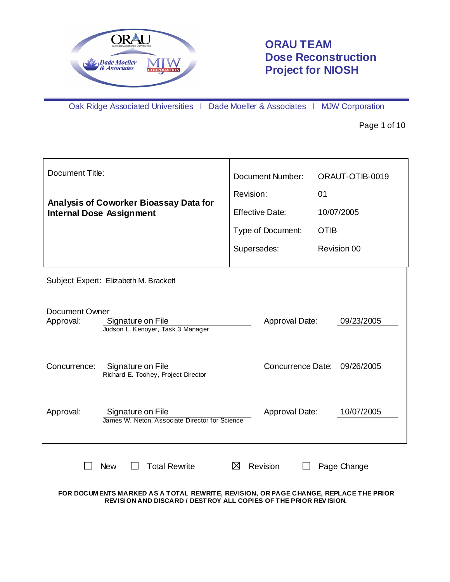

# **ORAU TEAM Dose Reconstruction Project for NIOSH**

Oak Ridge Associated Universities I Dade Moeller & Associates I MJW Corporation

Page 1 of 10

| Document Title:             |                                                                           | Document Number:       | ORAUT-OTIB-0019              |  |  |
|-----------------------------|---------------------------------------------------------------------------|------------------------|------------------------------|--|--|
|                             |                                                                           | Revision:              | 01                           |  |  |
|                             | Analysis of Coworker Bioassay Data for<br><b>Internal Dose Assignment</b> | <b>Effective Date:</b> | 10/07/2005                   |  |  |
|                             |                                                                           | Type of Document:      | <b>OTIB</b>                  |  |  |
|                             |                                                                           | Supersedes:            | Revision 00                  |  |  |
|                             | Subject Expert: Elizabeth M. Brackett                                     |                        |                              |  |  |
| Document Owner<br>Approval: | Signature on File<br>Judson L. Kenoyer, Task 3 Manager                    | Approval Date:         | 09/23/2005                   |  |  |
| Concurrence:                | Signature on File<br>Richard E. Toohey, Project Director                  |                        | Concurrence Date: 09/26/2005 |  |  |
| Approval:                   | Signature on File<br>James W. Neton, Associate Director for Science       | Approval Date:         | 10/07/2005                   |  |  |
|                             | <b>Total Rewrite</b><br><b>New</b>                                        | ⊠<br>Revision          | Page Change                  |  |  |

**FOR DOCUM ENTS MARKED AS A TOTAL REWRITE, REVISION, OR PAGE CHANGE, REPLACE THE PRIOR REVISION AND DISCARD / DESTROY ALL COPIES OF THE PRIOR REV ISION.**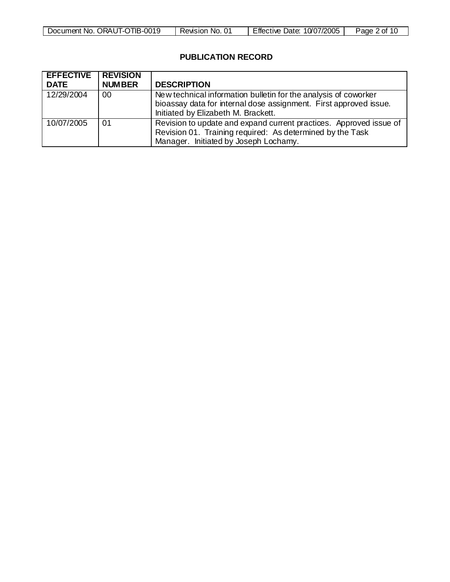| ORAUT-OTIB-0019<br>Document No. | Revision No. | 10/07/2005<br>Date:<br>⊨ttective | ∠ of:<br>Page<br>. |
|---------------------------------|--------------|----------------------------------|--------------------|

# **PUBLICATION RECORD**

| <b>EFFECTIVE REVISION</b> |               |                                                                                                                                                                             |
|---------------------------|---------------|-----------------------------------------------------------------------------------------------------------------------------------------------------------------------------|
| <b>DATE</b>               | <b>NUMBER</b> | <b>DESCRIPTION</b>                                                                                                                                                          |
| 12/29/2004                | 00            | New technical information bulletin for the analysis of coworker<br>bioassay data for internal dose assignment. First approved issue.<br>Initiated by Elizabeth M. Brackett. |
| 10/07/2005                | -01           | Revision to update and expand current practices. Approved issue of<br>Revision 01. Training required: As determined by the Task<br>Manager. Initiated by Joseph Lochamy.    |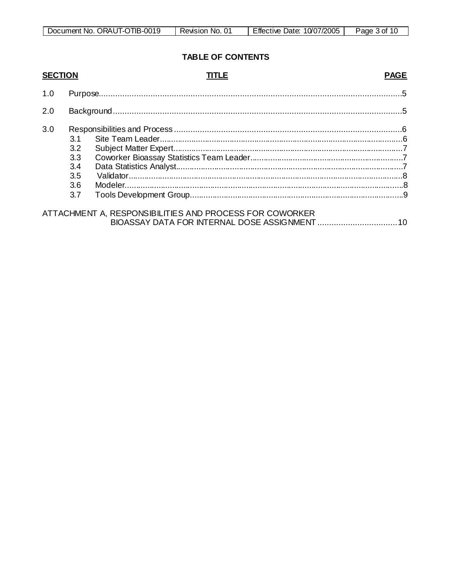| Document No. ORAUT-OTIB-0019 | Revision No. | 10/07/2005<br>Effective Date: | Page 3 of 1 <sup>r</sup> |
|------------------------------|--------------|-------------------------------|--------------------------|

# **TABLE OF CONTENTS**

| <b>SECTION</b> |                                        | TITLE                                                   | <b>PAGE</b> |
|----------------|----------------------------------------|---------------------------------------------------------|-------------|
| 1.0            |                                        |                                                         |             |
| 2.0            |                                        |                                                         |             |
| 3.0            | 3.2<br>3.3<br>3.4<br>3.5<br>3.6<br>3.7 |                                                         |             |
|                |                                        | ATTACHMENT A, RESPONSIBILITIES AND PROCESS FOR COWORKER |             |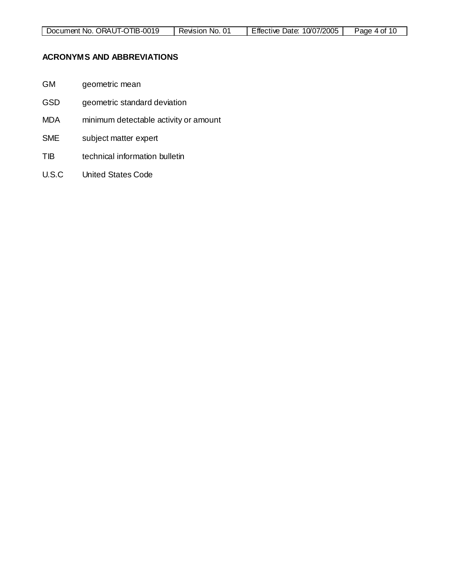# **ACRONYMS AND ABBREVIATIONS**

- GM geometric mean
- GSD geometric standard deviation
- MDA minimum detectable activity or amount
- SME subject matter expert
- TIB technical information bulletin
- U.S.C United States Code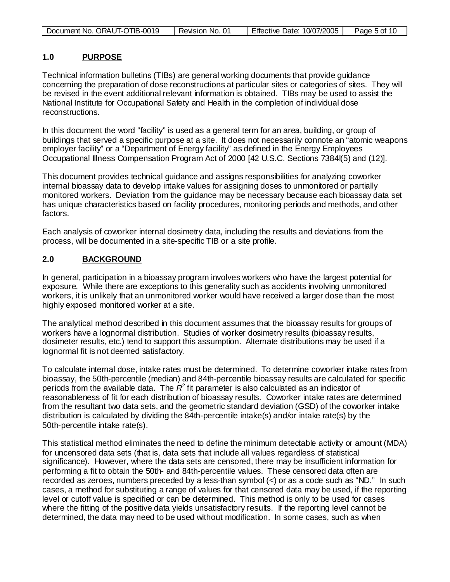| Document No. ORAUT-OTIB-0019 | Revision No. | Effective Date: 10/07/2005 | Page 5 of 10 |
|------------------------------|--------------|----------------------------|--------------|
|------------------------------|--------------|----------------------------|--------------|

#### **1.0 PURPOSE**

Technical information bulletins (TIBs) are general working documents that provide guidance concerning the preparation of dose reconstructions at particular sites or categories of sites. They will be revised in the event additional relevant information is obtained. TIBs may be used to assist the National Institute for Occupational Safety and Health in the completion of individual dose reconstructions.

In this document the word "facility" is used as a general term for an area, building, or group of buildings that served a specific purpose at a site. It does not necessarily connote an "atomic weapons employer facility" or a "Department of Energy facility" as defined in the Energy Employees Occupational Illness Compensation Program Act of 2000 [42 U.S.C. Sections 7384l(5) and (12)].

This document provides technical guidance and assigns responsibilities for analyzing coworker internal bioassay data to develop intake values for assigning doses to unmonitored or partially monitored workers. Deviation from the guidance may be necessary because each bioassay data set has unique characteristics based on facility procedures, monitoring periods and methods, and other factors.

Each analysis of coworker internal dosimetry data, including the results and deviations from the process, will be documented in a site-specific TIB or a site profile.

#### **2.0 BACKGROUND**

In general, participation in a bioassay program involves workers who have the largest potential for exposure. While there are exceptions to this generality such as accidents involving unmonitored workers, it is unlikely that an unmonitored worker would have received a larger dose than the most highly exposed monitored worker at a site.

The analytical method described in this document assumes that the bioassay results for groups of workers have a lognormal distribution. Studies of worker dosimetry results (bioassay results, dosimeter results, etc.) tend to support this assumption. Alternate distributions may be used if a lognormal fit is not deemed satisfactory.

To calculate internal dose, intake rates must be determined. To determine coworker intake rates from bioassay, the 50th-percentile (median) and 84th-percentile bioassay results are calculated for specific periods from the available data. The  $R^2$  fit parameter is also calculated as an indicator of reasonableness of fit for each distribution of bioassay results. Coworker intake rates are determined from the resultant two data sets, and the geometric standard deviation (GSD) of the coworker intake distribution is calculated by dividing the 84th-percentile intake(s) and/or intake rate(s) by the 50th-percentile intake rate(s).

This statistical method eliminates the need to define the minimum detectable activity or amount (MDA) for uncensored data sets (that is, data sets that include all values regardless of statistical significance). However, where the data sets are censored, there may be insufficient information for performing a fit to obtain the 50th- and 84th-percentile values. These censored data often are recorded as zeroes, numbers preceded by a less-than symbol (<) or as a code such as "ND." In such cases, a method for substituting a range of values for that censored data may be used, if the reporting level or cutoff value is specified or can be determined. This method is only to be used for cases where the fitting of the positive data yields unsatisfactory results. If the reporting level cannot be determined, the data may need to be used without modification. In some cases, such as when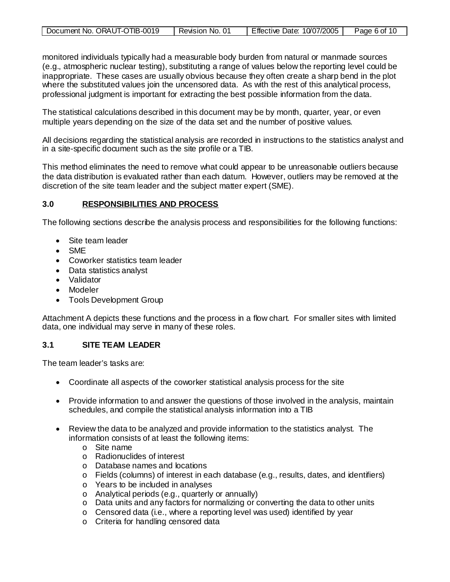| Document No. ORAUT-OTIB-0019 | Revision No. 01 | <b>Effective Date:</b><br>10/07/2005 | Paɑe 6 of 10 |
|------------------------------|-----------------|--------------------------------------|--------------|
|------------------------------|-----------------|--------------------------------------|--------------|

monitored individuals typically had a measurable body burden from natural or manmade sources (e.g., atmospheric nuclear testing), substituting a range of values below the reporting level could be inappropriate. These cases are usually obvious because they often create a sharp bend in the plot where the substituted values join the uncensored data. As with the rest of this analytical process, professional judgment is important for extracting the best possible information from the data.

The statistical calculations described in this document may be by month, quarter, year, or even multiple years depending on the size of the data set and the number of positive values.

All decisions regarding the statistical analysis are recorded in instructions to the statistics analyst and in a site-specific document such as the site profile or a TIB.

This method eliminates the need to remove what could appear to be unreasonable outliers because the data distribution is evaluated rather than each datum. However, outliers may be removed at the discretion of the site team leader and the subject matter expert (SME).

#### **3.0 RESPONSIBILITIES AND PROCESS**

The following sections describe the analysis process and responsibilities for the following functions:

- Site team leader
- SME
- Coworker statistics team leader
- Data statistics analyst
- Validator
- Modeler
- Tools Development Group

Attachment A depicts these functions and the process in a flow chart. For smaller sites with limited data, one individual may serve in many of these roles.

### **3.1 SITE TEAM LEADER**

The team leader's tasks are:

- Coordinate all aspects of the coworker statistical analysis process for the site
- Provide information to and answer the questions of those involved in the analysis, maintain schedules, and compile the statistical analysis information into a TIB
- Review the data to be analyzed and provide information to the statistics analyst. The information consists of at least the following items:
	- o Site name
	- o Radionuclides of interest
	- o Database names and locations
	- $\circ$  Fields (columns) of interest in each database (e.g., results, dates, and identifiers)
	- o Years to be included in analyses
	- o Analytical periods (e.g., quarterly or annually)
	- o Data units and any factors for normalizing or converting the data to other units
	- o Censored data (i.e., where a reporting level was used) identified by year
	- o Criteria for handling censored data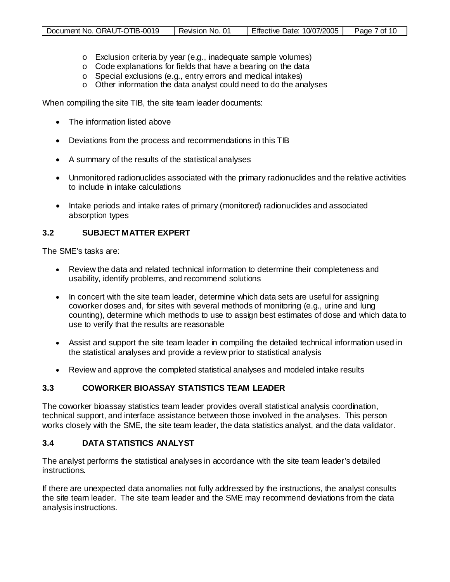- o Exclusion criteria by year (e.g., inadequate sample volumes)
- o Code explanations for fields that have a bearing on the data
- o Special exclusions (e.g., entry errors and medical intakes)
- o Other information the data analyst could need to do the analyses

When compiling the site TIB, the site team leader documents:

- The information listed above
- Deviations from the process and recommendations in this TIB
- A summary of the results of the statistical analyses
- Unmonitored radionuclides associated with the primary radionuclides and the relative activities to include in intake calculations
- Intake periods and intake rates of primary (monitored) radionuclides and associated absorption types

### **3.2 SUBJECT MATTER EXPERT**

The SME's tasks are:

- Review the data and related technical information to determine their completeness and usability, identify problems, and recommend solutions
- In concert with the site team leader, determine which data sets are useful for assigning coworker doses and, for sites with several methods of monitoring (e.g., urine and lung counting), determine which methods to use to assign best estimates of dose and which data to use to verify that the results are reasonable
- Assist and support the site team leader in compiling the detailed technical information used in the statistical analyses and provide a review prior to statistical analysis
- Review and approve the completed statistical analyses and modeled intake results

# **3.3 COWORKER BIOASSAY STATISTICS TEAM LEADER**

The coworker bioassay statistics team leader provides overall statistical analysis coordination, technical support, and interface assistance between those involved in the analyses. This person works closely with the SME, the site team leader, the data statistics analyst, and the data validator.

### **3.4 DATA STATISTICS ANALYST**

The analyst performs the statistical analyses in accordance with the site team leader's detailed instructions.

If there are unexpected data anomalies not fully addressed by the instructions, the analyst consults the site team leader. The site team leader and the SME may recommend deviations from the data analysis instructions.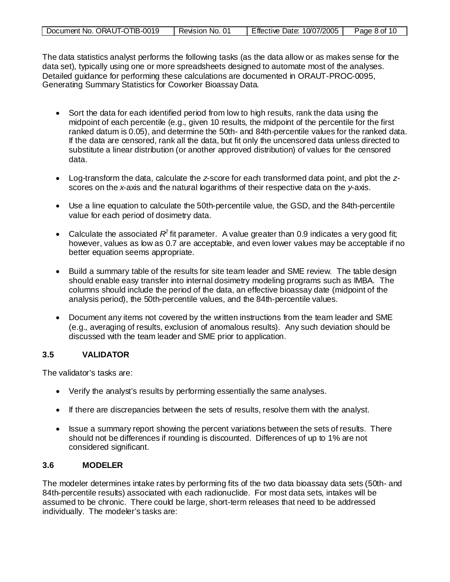| Document No. ORAUT-OTIB-0019 | Revision No. 01 | Effective Date: 10/07/2005 | Page 8 of 10 |
|------------------------------|-----------------|----------------------------|--------------|
|------------------------------|-----------------|----------------------------|--------------|

The data statistics analyst performs the following tasks (as the data allow or as makes sense for the data set), typically using one or more spreadsheets designed to automate most of the analyses. Detailed guidance for performing these calculations are documented in ORAUT-PROC-0095, Generating Summary Statistics for Coworker Bioassay Data.

- Sort the data for each identified period from low to high results, rank the data using the midpoint of each percentile (e.g., given 10 results, the midpoint of the percentile for the first ranked datum is 0.05), and determine the 50th- and 84th-percentile values for the ranked data. If the data are censored, rank all the data, but fit only the uncensored data unless directed to substitute a linear distribution (or another approved distribution) of values for the censored data.
- Log-transform the data, calculate the *z*-score for each transformed data point, and plot the *z*scores on the *x*-axis and the natural logarithms of their respective data on the *y*-axis.
- Use a line equation to calculate the 50th-percentile value, the GSD, and the 84th-percentile value for each period of dosimetry data.
- Calculate the associated  $R^2$  fit parameter. A value greater than 0.9 indicates a very good fit; however, values as low as 0.7 are acceptable, and even lower values may be acceptable if no better equation seems appropriate.
- Build a summary table of the results for site team leader and SME review. The table design should enable easy transfer into internal dosimetry modeling programs such as IMBA. The columns should include the period of the data, an effective bioassay date (midpoint of the analysis period), the 50th-percentile values, and the 84th-percentile values.
- Document any items not covered by the written instructions from the team leader and SME (e.g., averaging of results, exclusion of anomalous results). Any such deviation should be discussed with the team leader and SME prior to application.

# **3.5 VALIDATOR**

The validator's tasks are:

- Verify the analyst's results by performing essentially the same analyses.
- If there are discrepancies between the sets of results, resolve them with the analyst.
- Issue a summary report showing the percent variations between the sets of results. There should not be differences if rounding is discounted. Differences of up to 1% are not considered significant.

# **3.6 MODELER**

The modeler determines intake rates by performing fits of the two data bioassay data sets (50th- and 84th-percentile results) associated with each radionuclide. For most data sets, intakes will be assumed to be chronic. There could be large, short-term releases that need to be addressed individually. The modeler's tasks are: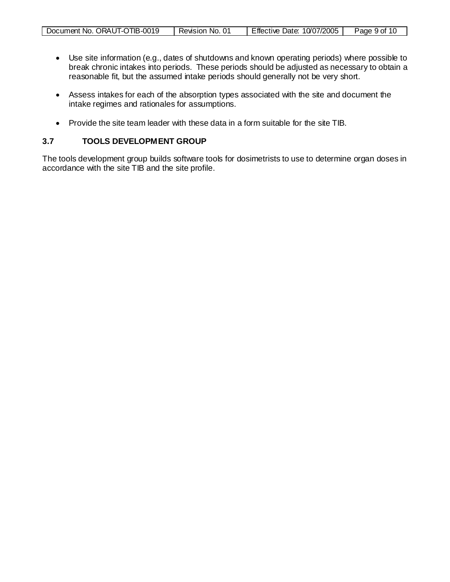| Document No. ORAUT-OTIB-0019 | Revision<br>No. | Effective Date:<br>10/07/2005 | Page 9 of |
|------------------------------|-----------------|-------------------------------|-----------|
|                              |                 |                               |           |

- Use site information (e.g., dates of shutdowns and known operating periods) where possible to break chronic intakes into periods. These periods should be adjusted as necessary to obtain a reasonable fit, but the assumed intake periods should generally not be very short.
- Assess intakes for each of the absorption types associated with the site and document the intake regimes and rationales for assumptions.
- Provide the site team leader with these data in a form suitable for the site TIB.

# **3.7 TOOLS DEVELOPMENT GROUP**

 $\mathsf{r}$ 

The tools development group builds software tools for dosimetrists to use to determine organ doses in accordance with the site TIB and the site profile.